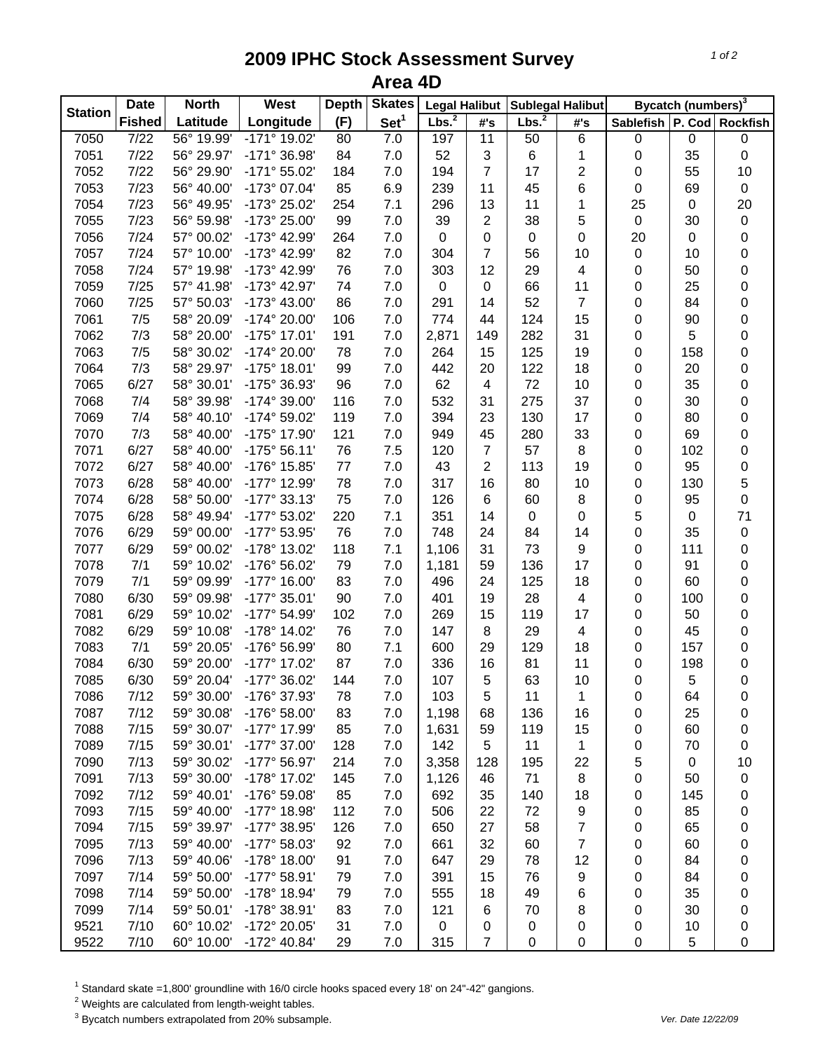## **2009 IPHC Stock Assessment Survey Area 4D**

| <b>Station</b> | <b>Date</b>   | <b>North</b> | <b>Skates</b><br>West<br><b>Depth</b> |     | <b>Legal Halibut</b> |                   | <b>Sublegal Halibut</b>  |                   | Bycatch (numbers) <sup>3</sup> |                               |             |                  |
|----------------|---------------|--------------|---------------------------------------|-----|----------------------|-------------------|--------------------------|-------------------|--------------------------------|-------------------------------|-------------|------------------|
|                | <b>Fished</b> | Latitude     | Longitude                             | (F) | Set <sup>1</sup>     | Lbs. <sup>2</sup> | #'s                      | Lbs. <sup>2</sup> | #'s                            | Sablefish   P. Cod   Rockfish |             |                  |
| 7050           | 7/22          | 56° 19.99'   | -171° 19.02'                          | 80  | 7.0                  | 197               | 11                       | 50                | $\overline{6}$                 | $\pmb{0}$                     | $\pmb{0}$   | $\boldsymbol{0}$ |
| 7051           | 7/22          | 56° 29.97'   | -171° 36.98'                          | 84  | 7.0                  | 52                | 3                        | 6                 | 1                              | 0                             | 35          | $\boldsymbol{0}$ |
| 7052           | 7/22          | 56° 29.90'   | -171° 55.02'                          | 184 | 7.0                  | 194               | $\overline{7}$           | 17                | 2                              | 0                             | 55          | 10               |
| 7053           | 7/23          | 56° 40.00'   | -173° 07.04'                          | 85  | 6.9                  | 239               | 11                       | 45                | 6                              | 0                             | 69          | $\pmb{0}$        |
| 7054           | 7/23          | 56° 49.95'   | -173° 25.02'                          | 254 | 7.1                  | 296               | 13                       | 11                | 1                              | 25                            | $\pmb{0}$   | 20               |
| 7055           | 7/23          | 56° 59.98'   | -173° 25.00'                          | 99  | 7.0                  | 39                | $\overline{2}$           | 38                | 5                              | $\pmb{0}$                     | 30          | $\mathbf 0$      |
| 7056           | 7/24          | 57° 00.02'   | -173° 42.99'                          | 264 | 7.0                  | $\mathbf 0$       | $\pmb{0}$                | $\pmb{0}$         | $\boldsymbol{0}$               | 20                            | $\mathbf 0$ | $\mathbf 0$      |
| 7057           | 7/24          | 57° 10.00'   | -173° 42.99'                          | 82  | 7.0                  | 304               | $\overline{7}$           | 56                | 10                             | $\pmb{0}$                     | 10          | $\mathbf 0$      |
| 7058           | 7/24          | 57° 19.98'   | -173° 42.99'                          | 76  | 7.0                  | 303               | 12                       | 29                | 4                              | 0                             | 50          | $\mathbf 0$      |
| 7059           | 7/25          | 57° 41.98'   | -173° 42.97'                          | 74  | 7.0                  | 0                 | $\pmb{0}$                | 66                | 11                             | 0                             | 25          | $\mathbf 0$      |
| 7060           | 7/25          | 57° 50.03'   | -173° 43.00'                          | 86  | 7.0                  | 291               | 14                       | 52                | 7                              | 0                             | 84          | $\boldsymbol{0}$ |
| 7061           | 7/5           | 58° 20.09'   | -174° 20.00'                          | 106 | 7.0                  | 774               | 44                       | 124               | 15                             | 0                             | 90          | $\boldsymbol{0}$ |
| 7062           | 7/3           | 58° 20.00'   | -175° 17.01'                          | 191 | 7.0                  | 2,871             | 149                      | 282               | 31                             | 0                             | 5           | $\mathbf 0$      |
| 7063           | 7/5           | 58° 30.02'   | -174° 20.00'                          | 78  | 7.0                  | 264               | 15                       | 125               | 19                             | 0                             | 158         | $\mathbf 0$      |
| 7064           | 7/3           | 58° 29.97'   | -175° 18.01'                          | 99  | 7.0                  | 442               | 20                       | 122               | 18                             | 0                             | 20          | $\mathbf 0$      |
| 7065           | 6/27          | 58° 30.01'   | -175° 36.93'                          | 96  | 7.0                  | 62                | $\overline{\mathcal{A}}$ | 72                | 10                             | 0                             | 35          | $\mathbf 0$      |
| 7068           | 7/4           | 58° 39.98'   | -174° 39.00'                          | 116 | 7.0                  | 532               | 31                       | 275               | 37                             | 0                             | 30          | 0                |
| 7069           | 7/4           | 58° 40.10'   | -174° 59.02'                          | 119 | 7.0                  | 394               | 23                       | 130               | 17                             | 0                             | 80          | 0                |
| 7070           | 7/3           | 58° 40.00'   | -175° 17.90'                          | 121 | 7.0                  | 949               | 45                       | 280               | 33                             | 0                             | 69          | $\pmb{0}$        |
| 7071           | 6/27          | 58° 40.00'   | $-175°56.11'$                         | 76  | 7.5                  | 120               | $\overline{7}$           | 57                | $\bf 8$                        | 0                             | 102         | 0                |
| 7072           | 6/27          | 58° 40.00'   | -176° 15.85'                          | 77  | 7.0                  | 43                | $\overline{2}$           | 113               | 19                             | 0                             | 95          | $\pmb{0}$        |
| 7073           | 6/28          | 58° 40.00'   | -177° 12.99'                          | 78  | 7.0                  | 317               | 16                       | 80                | 10                             | 0                             | 130         | 5                |
| 7074           | 6/28          | 58° 50.00'   | $-177°33.13'$                         | 75  | 7.0                  | 126               | 6                        | 60                | 8                              | 0                             | 95          | $\pmb{0}$        |
| 7075           | 6/28          | 58° 49.94'   | -177° 53.02'                          | 220 | 7.1                  | 351               | 14                       | $\pmb{0}$         | 0                              | 5                             | $\pmb{0}$   | 71               |
| 7076           | 6/29          | 59° 00.00'   | -177° 53.95'                          | 76  | 7.0                  | 748               | 24                       | 84                | 14                             | 0                             | 35          | $\pmb{0}$        |
| 7077           | 6/29          | 59° 00.02'   | -178° 13.02'                          | 118 | 7.1                  | 1,106             | 31                       | 73                | 9                              | 0                             | 111         | $\mathbf 0$      |
|                | 7/1           | 59° 10.02'   |                                       | 79  |                      |                   | 59                       | 136               | 17                             |                               | 91          | $\mathbf 0$      |
| 7078           |               |              | -176° 56.02'                          |     | 7.0                  | 1,181             |                          |                   |                                | 0                             |             |                  |
| 7079           | 7/1           | 59° 09.99'   | $-177^{\circ}$ 16.00                  | 83  | 7.0                  | 496               | 24                       | 125               | 18                             | 0                             | 60          | $\boldsymbol{0}$ |
| 7080           | 6/30          | 59° 09.98'   | -177° 35.01'                          | 90  | 7.0                  | 401               | 19                       | 28                | 4                              | 0                             | 100         | $\boldsymbol{0}$ |
| 7081           | 6/29          | 59° 10.02'   | -177° 54.99'                          | 102 | 7.0                  | 269               | 15                       | 119               | 17                             | 0                             | 50          | $\boldsymbol{0}$ |
| 7082           | 6/29          | 59° 10.08'   | -178° 14.02'                          | 76  | 7.0                  | 147               | 8                        | 29                | 4                              | 0                             | 45          | 0                |
| 7083           | 7/1           | 59° 20.05'   | -176° 56.99'                          | 80  | 7.1                  | 600               | 29                       | 129               | 18                             | 0                             | 157         | $\boldsymbol{0}$ |
| 7084           | 6/30          | 59° 20.00'   | -177° 17.02'                          | 87  | 7.0                  | 336               | 16                       | 81                | 11                             | 0                             | 198         | $\pmb{0}$        |
| 7085           | 6/30          | 59° 20.04'   | -177° 36.02'                          | 144 | 7.0                  | 107               | 5                        | 63                | 10                             | 0                             | 5           | $\mathbf 0$      |
| 7086           | 7/12          | 59° 30.00'   | -176° 37.93'                          | 78  | 7.0                  | 103               | 5                        | 11                | 1                              | 0                             | 64          | 0                |
| 7087           | 7/12          | 59° 30.08'   | -176° 58.00'                          | 83  | 7.0                  | 1,198             | 68                       | 136               | 16                             | 0                             | 25          | 0                |
| 7088           | 7/15          | 59° 30.07'   | -177° 17.99'                          | 85  | 7.0                  | 1,631             | 59                       | 119               | 15                             | 0                             | 60          | 0                |
| 7089           | 7/15          | 59° 30.01'   | -177° 37.00'                          | 128 | 7.0                  | 142               | 5                        | 11                | 1                              | 0                             | 70          | 0                |
| 7090           | 7/13          | 59° 30.02'   | -177° 56.97'                          | 214 | 7.0                  | 3,358             | 128                      | 195               | 22                             | 5                             | $\pmb{0}$   | 10               |
| 7091           | 7/13          | 59° 30.00'   | -178° 17.02'                          | 145 | 7.0                  | 1,126             | 46                       | 71                | 8                              | 0                             | 50          | $\pmb{0}$        |
| 7092           | 7/12          | 59° 40.01'   | -176° 59.08'                          | 85  | 7.0                  | 692               | 35                       | 140               | 18                             | 0                             | 145         | 0                |
| 7093           | 7/15          | 59° 40.00'   | -177° 18.98'                          | 112 | 7.0                  | 506               | 22                       | 72                | 9                              | 0                             | 85          | 0                |
| 7094           | 7/15          | 59° 39.97'   | -177° 38.95'                          | 126 | 7.0                  | 650               | 27                       | 58                | 7                              | 0                             | 65          | 0                |
| 7095           | 7/13          | 59° 40.00'   | -177° 58.03'                          | 92  | 7.0                  | 661               | 32                       | 60                | 7                              | 0                             | 60          | 0                |
| 7096           | 7/13          | 59° 40.06'   | -178° 18.00'                          | 91  | 7.0                  | 647               | 29                       | 78                | 12                             | 0                             | 84          | 0                |
| 7097           | 7/14          | 59° 50.00'   | -177° 58.91'                          | 79  | 7.0                  | 391               | 15                       | 76                | 9                              | 0                             | 84          | 0                |
| 7098           | 7/14          | 59° 50.00'   | -178° 18.94'                          | 79  | 7.0                  | 555               | 18                       | 49                | 6                              | 0                             | 35          | 0                |
| 7099           | 7/14          | 59° 50.01'   | -178° 38.91'                          | 83  | 7.0                  | 121               | 6                        | 70                | 8                              | 0                             | 30          | 0                |
| 9521           | 7/10          | 60° 10.02'   | -172° 20.05'                          | 31  | 7.0                  | 0                 | 0                        | 0                 | 0                              | 0                             | 10          | 0                |
| 9522           | 7/10          | 60° 10.00'   | $-172^{\circ}$ 40.84'                 | 29  | 7.0                  | 315               | $\overline{7}$           | $\mathbf 0$       | $\pmb{0}$                      | 0                             | 5           | 0                |

 $^1$  Standard skate =1,800' groundline with 16/0 circle hooks spaced every 18' on 24"-42" gangions.<br><sup>2</sup> Weights are calculated from length-weight tables.

3 Bycatch numbers extrapolated from 20% subsample. *Ver. Date 12/22/09*